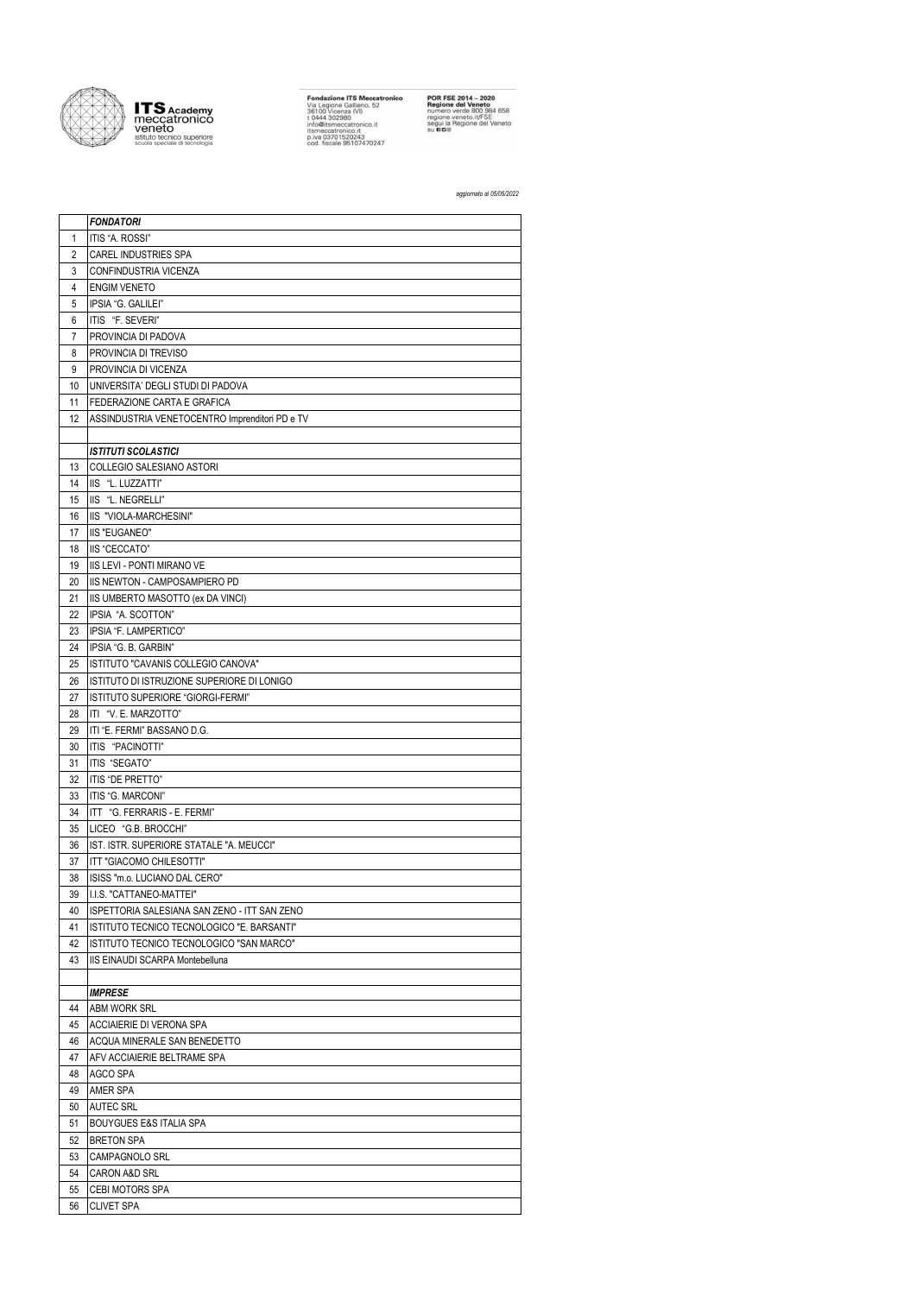

**ITS** Academy<br>
Veneto<br>
veneto<br>
istituto tecnico superiore<br>
scuola speciale di tecnologia

**Fondazione ITS Meccatronico**<br>Via Legione Gallieno, 52<br>36100 Vicenza (VI)<br>t 0444 302980<br>info@itsmeccatronico.it<br>ismeccatronico.it<br>p.iva 03701520243<br>cod. fiscale 95107470247

**POR FSE 2014 – 2020**<br>**Regione del Veneto**<br>numero verde 800 984 658<br>regione veneto.it/FSE<br>segui la Regione del Veneto<br>su **ri d**®

## aggiornato al 05/05/2022

|                | <b>FONDATORI</b>                               |
|----------------|------------------------------------------------|
| 1              | ITIS "A. ROSSI"                                |
| $\overline{2}$ | <b>CAREL INDUSTRIES SPA</b>                    |
| 3              | <b>CONFINDUSTRIA VICENZA</b>                   |
| 4              | <b>ENGIM VENETO</b>                            |
| 5              | IPSIA "G. GALILEI"                             |
| 6              | ITIS "F. SEVERI"                               |
| 7              | PROVINCIA DI PADOVA                            |
| 8              | PROVINCIA DI TREVISO                           |
| 9              | PROVINCIA DI VICENZA                           |
| 10             | UNIVERSITA' DEGLI STUDI DI PADOVA              |
| 11             | FEDERAZIONE CARTA E GRAFICA                    |
| 12             | ASSINDUSTRIA VENETOCENTRO Imprenditori PD e TV |
|                |                                                |
|                | <b>ISTITUTI SCOLASTICI</b>                     |
| 13             | COLLEGIO SALESIANO ASTORI                      |
| 14             | IIS "L. LUZZATTI"                              |
| 15             | IIS "L. NEGRELLI"                              |
| 16             | IIS "VIOLA-MARCHESINI"                         |
| 17             | <b>IIS "EUGANEO"</b>                           |
|                | IIS "CECCATO"                                  |
| 18<br>19       | <b>IIS LEVI - PONTI MIRANO VE</b>              |
|                |                                                |
| 20             | IIS NEWTON - CAMPOSAMPIERO PD                  |
| 21             | IIS UMBERTO MASOTTO (ex DA VINCI)              |
| 22             | IPSIA "A. SCOTTON"                             |
| 23             | IPSIA "F. LAMPERTICO"                          |
| 24             | IPSIA "G. B. GARBIN"                           |
| 25             | ISTITUTO "CAVANIS COLLEGIO CANOVA"             |
| 26             | ISTITUTO DI ISTRUZIONE SUPERIORE DI LONIGO     |
| 27             | ISTITUTO SUPERIORE "GIORGI-FERMI"              |
| 28             | ITI "V. E. MARZOTTO"                           |
| 29             | ITI "E. FERMI" BASSANO D.G.                    |
| 30             | ITIS "PACINOTTI"                               |
| 31             | ITIS "SEGATO"                                  |
| 32             | <b>ITIS "DE PRETTO"</b>                        |
| 33             | ITIS "G. MARCONI"                              |
| 34             | ITT "G. FERRARIS - E. FERMI"                   |
| 35             | LICEO "G.B. BROCCHI"                           |
| 36             | IST. ISTR. SUPERIORE STATALE "A. MEUCCI"       |
| 37             | ITT "GIACOMO CHILESOTTI"                       |
| 38             | ISISS "m.o. LUCIANO DAL CERO"                  |
| 39             | I.I.S. "CATTANEO-MATTEI"                       |
| 40             | ISPETTORIA SALESIANA SAN ZENO - ITT SAN ZENO   |
| 41             | ISTITUTO TECNICO TECNOLOGICO "E. BARSANTI"     |
| 42             | ISTITUTO TECNICO TECNOLOGICO "SAN MARCO"       |
| 43             | IIS EINAUDI SCARPA Montebelluna                |
|                |                                                |
|                | <b>IMPRESE</b>                                 |
| 44             | <b>ABM WORK SRL</b>                            |
| 45             | <b>ACCIAIERIE DI VERONA SPA</b>                |
| 46             | ACQUA MINERALE SAN BENEDETTO                   |
| 47             | AFV ACCIAIERIE BELTRAME SPA                    |
| 48             | AGCO SPA                                       |
| 49             | <b>AMER SPA</b>                                |
| 50             | <b>AUTEC SRL</b>                               |
| 51             | <b>BOUYGUES E&amp;S ITALIA SPA</b>             |
| 52             | <b>BRETON SPA</b>                              |
| 53             | <b>CAMPAGNOLO SRL</b>                          |
| 54             | <b>CARON A&amp;D SRL</b>                       |
| 55             | CEBI MOTORS SPA                                |
| 56             | <b>CLIVET SPA</b>                              |